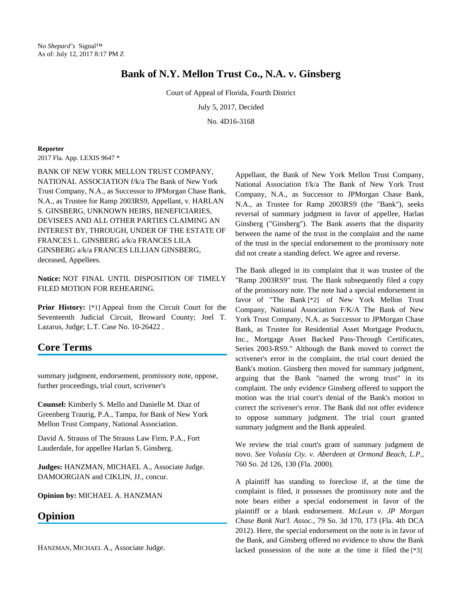## **Bank of N.Y. Mellon Trust Co., N.A. v. Ginsberg**

Court of Appeal of Florida, Fourth District

July 5, 2017, Decided

No. 4D16-3168

## **Reporter**

2017 Fla. App. LEXIS 9647 \*

BANK OF NEW YORK MELLON TRUST COMPANY, NATIONAL ASSOCIATION f/k/a The Bank of New York Trust Company, N.A., as Successor to JPMorgan Chase Bank, N.A., as Trustee for Ramp 2003RS9, Appellant, v. HARLAN S. GINSBERG, UNKNOWN HEIRS, BENEFICIARIES, DEVISEES AND ALL OTHER PARTIES CLAIMING AN INTEREST BY, THROUGH, UNDER OF THE ESTATE OF FRANCES L. GINSBERG a/k/a FRANCES LILA GINSBERG a/k/a FRANCES LILLIAN GINSBERG, deceased, Appellees.

**Notice:** NOT FINAL UNTIL DISPOSITION OF TIMELY FILED MOTION FOR REHEARING.

**Prior History:** [\*1] Appeal from the Circuit Court for the Seventeenth Judicial Circuit, Broward County; Joel T. Lazarus, Judge; L.T. Case No. 10-26422 .

## **Core Terms**

summary judgment, endorsement, promissory note, oppose, further proceedings, trial court, scrivener's

**Counsel:** Kimberly S. Mello and Danielle M. Diaz of Greenberg Traurig, P.A., Tampa, for Bank of New York Mellon Trust Company, National Association.

David A. Strauss of The Strauss Law Firm, P.A., Fort Lauderdale, for appellee Harlan S. Ginsberg.

**Judges:** HANZMAN, MICHAEL A., Associate Judge. DAMOORGIAN and CIKLIN, JJ., concur.

**Opinion by:** MICHAEL A. HANZMAN

## **Opinion**

HANZMAN, MICHAEL A., Associate Judge.

Appellant, the Bank of New York Mellon Trust Company, National Association f/k/a The Bank of New York Trust Company, N.A., as Successor to JPMorgan Chase Bank, N.A., as Trustee for Ramp 2003RS9 (the "Bank"), seeks reversal of summary judgment in favor of appellee, Harlan Ginsberg ("Ginsberg"). The Bank asserts that the disparity between the name of the trust in the complaint and the name of the trust in the special endorsement to the promissory note did not create a standing defect. We agree and reverse.

The Bank alleged in its complaint that it was trustee of the "Ramp 2003RS9" trust. The Bank subsequently filed a copy of the promissory note. The note had a special endorsement in favor of "The Bank [\*2] of New York Mellon Trust Company, National Association F/K/A The Bank of New York Trust Company, N.A. as Successor to JPMorgan Chase Bank, as Trustee for Residential Asset Mortgage Products, Inc., Mortgage Asset Backed Pass-Through Certificates, Series 2003-RS9." Although the Bank moved to correct the scrivener's error in the complaint, the trial court denied the Bank's motion. Ginsberg then moved for summary judgment, arguing that the Bank "named the wrong trust" in its complaint. The only evidence Ginsberg offered to support the motion was the trial court's denial of the Bank's motion to correct the scrivener's error. The Bank did not offer evidence to oppose summary judgment. The trial court granted summary judgment and the Bank appealed.

We review the trial court's grant of summary judgment de novo. *See Volusia Cty. v. Aberdeen at Ormond Beach, L.P.*, 760 So. 2d 126, 130 (Fla. 2000).

A plaintiff has standing to foreclose if, at the time the complaint is filed, it possesses the promissory note and the note bears either a special endorsement in favor of the plaintiff or a blank endorsement. *McLean v. JP Morgan Chase Bank Nat'l. Assoc.*, 79 So. 3d 170, 173 (Fla. 4th DCA 2012). Here, the special endorsement on the note is in favor of the Bank, and Ginsberg offered no evidence to show the Bank lacked possession of the note at the time it filed the [\*3]